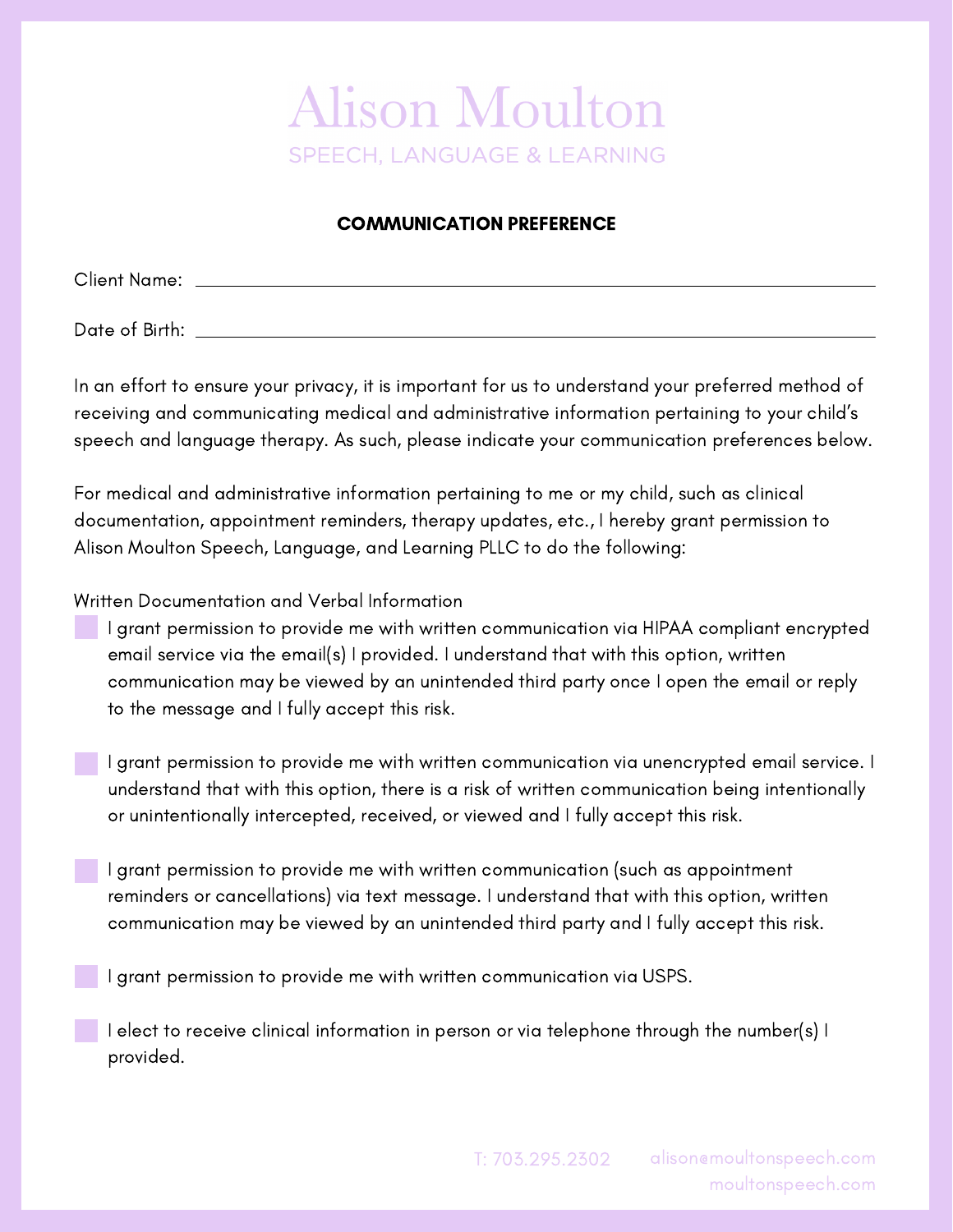## **Alison Moulton SPEECH. LANGUAGE & LEARNING**

## COMMUNICATION PREFERENCE

Client Name:

Date of Birth:

In an effort to ensure your privacy, it is important for us to understand your preferred method of receiving and communicating medical and administrative information pertaining to your child's speech and language therapy. As such, please indicate your communication preferences below.

For medical and administrative information pertaining to me or my child, such as clinical documentation, appointment reminders, therapy updates, etc., I hereby grant permission to Alison Moulton Speech, Language, and Learning PLLC to do the following:

Written Documentation and Verbal Information

- I grant permission to provide me with written communication via HIPAA compliant encrypted email service via the email(s) I provided. I understand that with this option, written communication may be viewed by an unintended third party once I open the email or reply to the message and I fully accept this risk.
	- I grant permission to provide me with written communication via unencrypted email service. I understand that with this option, there is a risk of written communication being intentionally or unintentionally intercepted, received, or viewed and I fully accept this risk.
	- I grant permission to provide me with written communication (such as appointment reminders or cancellations) via text message. I understand that with this option, written communication may be viewed by an unintended third party and I fully accept this risk.

I grant permission to provide me with written communication via USPS.

I elect to receive clinical information in person or via telephone through the number(s) I provided.